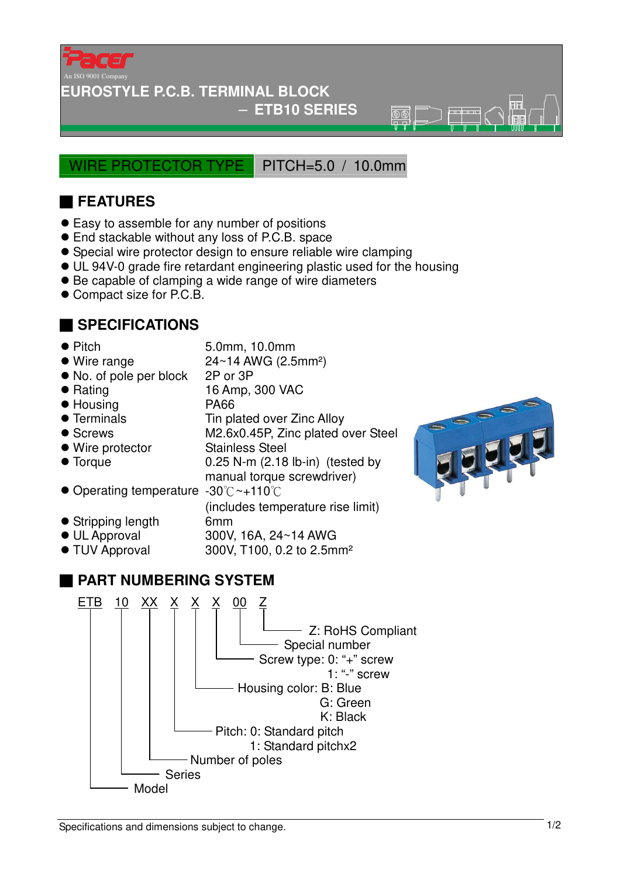

#### **EUROSTYLE P.C.B. TERMINAL BLOCK**

### − **ETB10 SERIES**

 $\overline{\mathbb{R} \mathbb{R}}$ 

WIRE PROTECTOR TYPE PITCH=5.0 / 10.0mm

## ■ **FEATURES**

- Easy to assemble for any number of positions
- End stackable without any loss of P.C.B. space
- Special wire protector design to ensure reliable wire clamping
- UL 94V-0 grade fire retardant engineering plastic used for the housing
- Be capable of clamping a wide range of wire diameters
- Compact size for P.C.B.

## ■ **SPECIFICATIONS**

- 
- Pitch 5.0mm, 10.0mm
- $\bullet$  Wire range  $24 \sim 14$  AWG (2.5mm<sup>2</sup>)
- No. of pole per block 2P or 3P
- 
- Housing PA66
- 
- 
- 
- 
- Rating 16 Amp, 300 VAC
	-
- Terminals Tin plated over Zinc Alloy
- Screws M2.6x0.45P, Zinc plated over Steel
- Wire protector Stainless Steel
- Torque 0.25 N-m (2.18 lb-in) (tested by manual torque screwdriver)

(includes temperature rise limit)

- Operating temperature -30℃~+110℃
- Stripping length 6mm
- 
- 
- UL Approval 300V, 16A, 24~14 AWG
- TUV Approval 300V, T100, 0.2 to 2.5mm²

# ■ **PART NUMBERING SYSTEM**